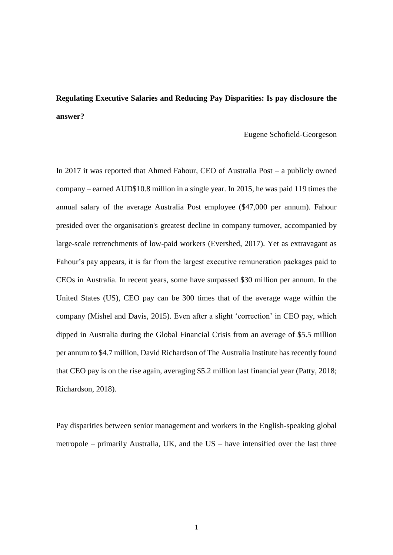# **Regulating Executive Salaries and Reducing Pay Disparities: Is pay disclosure the answer?**

Eugene Schofield-Georgeson

In 2017 it was reported that Ahmed Fahour, CEO of Australia Post – a publicly owned company – earned AUD\$10.8 million in a single year. In 2015, he was paid 119 times the annual salary of the average Australia Post employee (\$47,000 per annum). Fahour presided over the organisation's greatest decline in company turnover, accompanied by large-scale retrenchments of low-paid workers (Evershed, 2017). Yet as extravagant as Fahour's pay appears, it is far from the largest executive remuneration packages paid to CEOs in Australia. In recent years, some have surpassed \$30 million per annum. In the United States (US), CEO pay can be 300 times that of the average wage within the company (Mishel and Davis, 2015). Even after a slight 'correction' in CEO pay, which dipped in Australia during the Global Financial Crisis from an average of \$5.5 million per annum to \$4.7 million, David Richardson of The Australia Institute has recently found that CEO pay is on the rise again, averaging \$5.2 million last financial year (Patty, 2018; Richardson, 2018).

Pay disparities between senior management and workers in the English-speaking global metropole – primarily Australia, UK, and the US – have intensified over the last three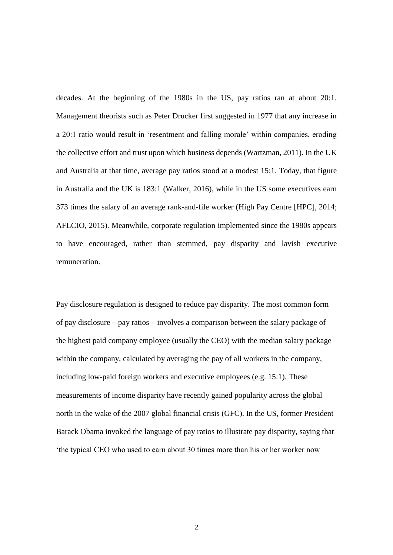decades. At the beginning of the 1980s in the US, pay ratios ran at about 20:1. Management theorists such as Peter Drucker first suggested in 1977 that any increase in a 20:1 ratio would result in 'resentment and falling morale' within companies, eroding the collective effort and trust upon which business depends (Wartzman, 2011). In the UK and Australia at that time, average pay ratios stood at a modest 15:1. Today, that figure in Australia and the UK is 183:1 (Walker, 2016), while in the US some executives earn 373 times the salary of an average rank-and-file worker (High Pay Centre [HPC], 2014; AFLCIO, 2015). Meanwhile, corporate regulation implemented since the 1980s appears to have encouraged, rather than stemmed, pay disparity and lavish executive remuneration.

Pay disclosure regulation is designed to reduce pay disparity. The most common form of pay disclosure – pay ratios – involves a comparison between the salary package of the highest paid company employee (usually the CEO) with the median salary package within the company, calculated by averaging the pay of all workers in the company, including low-paid foreign workers and executive employees (e.g. 15:1). These measurements of income disparity have recently gained popularity across the global north in the wake of the 2007 global financial crisis (GFC). In the US, former President Barack Obama invoked the language of pay ratios to illustrate pay disparity, saying that 'the typical CEO who used to earn about 30 times more than his or her worker now

2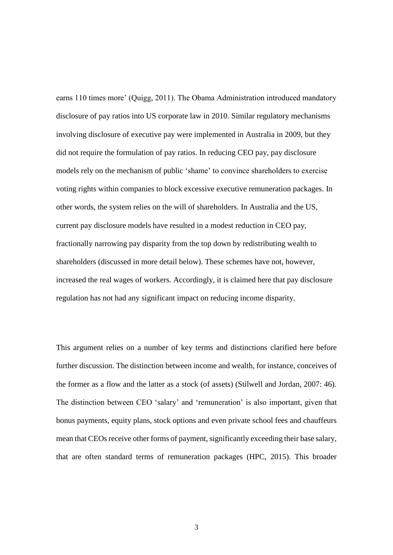earns 110 times more' (Quigg, 2011). The Obama Administration introduced mandatory disclosure of pay ratios into US corporate law in 2010. Similar regulatory mechanisms involving disclosure of executive pay were implemented in Australia in 2009, but they did not require the formulation of pay ratios. In reducing CEO pay, pay disclosure models rely on the mechanism of public 'shame' to convince shareholders to exercise voting rights within companies to block excessive executive remuneration packages. In other words, the system relies on the will of shareholders. In Australia and the US, current pay disclosure models have resulted in a modest reduction in CEO pay, fractionally narrowing pay disparity from the top down by redistributing wealth to shareholders (discussed in more detail below). These schemes have not, however, increased the real wages of workers. Accordingly, it is claimed here that pay disclosure regulation has not had any significant impact on reducing income disparity.

This argument relies on a number of key terms and distinctions clarified here before further discussion. The distinction between income and wealth, for instance, conceives of the former as a flow and the latter as a stock (of assets) (Stilwell and Jordan, 2007: 46). The distinction between CEO 'salary' and 'remuneration' is also important, given that bonus payments, equity plans, stock options and even private school fees and chauffeurs mean that CEOs receive other forms of payment, significantly exceeding their base salary, that are often standard terms of remuneration packages (HPC, 2015). This broader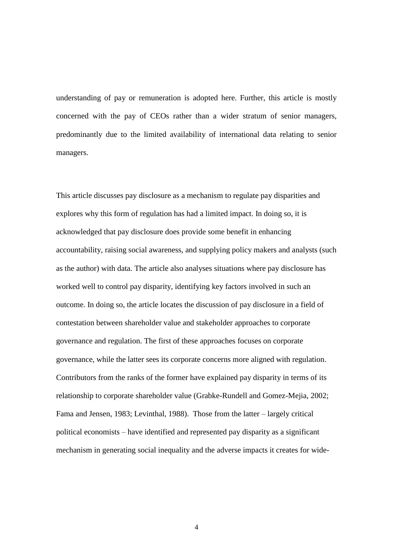understanding of pay or remuneration is adopted here. Further, this article is mostly concerned with the pay of CEOs rather than a wider stratum of senior managers, predominantly due to the limited availability of international data relating to senior managers.

This article discusses pay disclosure as a mechanism to regulate pay disparities and explores why this form of regulation has had a limited impact. In doing so, it is acknowledged that pay disclosure does provide some benefit in enhancing accountability, raising social awareness, and supplying policy makers and analysts (such as the author) with data. The article also analyses situations where pay disclosure has worked well to control pay disparity, identifying key factors involved in such an outcome. In doing so, the article locates the discussion of pay disclosure in a field of contestation between shareholder value and stakeholder approaches to corporate governance and regulation. The first of these approaches focuses on corporate governance, while the latter sees its corporate concerns more aligned with regulation. Contributors from the ranks of the former have explained pay disparity in terms of its relationship to corporate shareholder value (Grabke-Rundell and Gomez-Mejia, 2002; Fama and Jensen, 1983; Levinthal, 1988). Those from the latter – largely critical political economists – have identified and represented pay disparity as a significant mechanism in generating social inequality and the adverse impacts it creates for wide-

4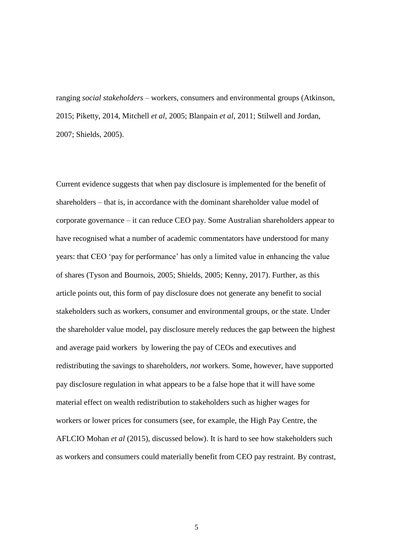ranging *social stakeholders* – workers, consumers and environmental groups (Atkinson, 2015; Piketty, 2014, Mitchell *et al*, 2005; Blanpain *et al*, 2011; Stilwell and Jordan, 2007; Shields, 2005).

Current evidence suggests that when pay disclosure is implemented for the benefit of shareholders – that is, in accordance with the dominant shareholder value model of corporate governance – it can reduce CEO pay. Some Australian shareholders appear to have recognised what a number of academic commentators have understood for many years: that CEO 'pay for performance' has only a limited value in enhancing the value of shares (Tyson and Bournois, 2005; Shields, 2005; Kenny, 2017). Further, as this article points out, this form of pay disclosure does not generate any benefit to social stakeholders such as workers, consumer and environmental groups, or the state. Under the shareholder value model, pay disclosure merely reduces the gap between the highest and average paid workers by lowering the pay of CEOs and executives and redistributing the savings to shareholders, *not* workers. Some, however, have supported pay disclosure regulation in what appears to be a false hope that it will have some material effect on wealth redistribution to stakeholders such as higher wages for workers or lower prices for consumers (see, for example, the High Pay Centre, the AFLCIO Mohan *et al* (2015), discussed below). It is hard to see how stakeholders such as workers and consumers could materially benefit from CEO pay restraint. By contrast,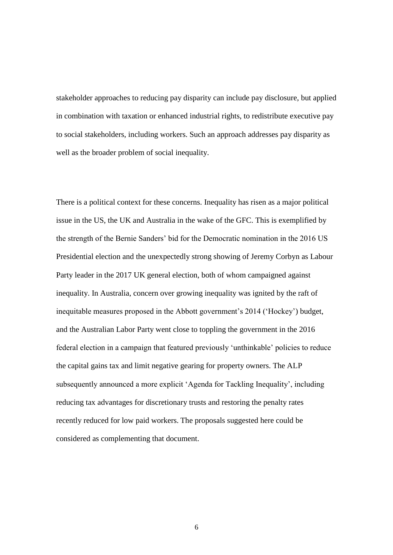stakeholder approaches to reducing pay disparity can include pay disclosure, but applied in combination with taxation or enhanced industrial rights, to redistribute executive pay to social stakeholders, including workers. Such an approach addresses pay disparity as well as the broader problem of social inequality.

There is a political context for these concerns. Inequality has risen as a major political issue in the US, the UK and Australia in the wake of the GFC. This is exemplified by the strength of the Bernie Sanders' bid for the Democratic nomination in the 2016 US Presidential election and the unexpectedly strong showing of Jeremy Corbyn as Labour Party leader in the 2017 UK general election, both of whom campaigned against inequality. In Australia, concern over growing inequality was ignited by the raft of inequitable measures proposed in the Abbott government's 2014 ('Hockey') budget, and the Australian Labor Party went close to toppling the government in the 2016 federal election in a campaign that featured previously 'unthinkable' policies to reduce the capital gains tax and limit negative gearing for property owners. The ALP subsequently announced a more explicit 'Agenda for Tackling Inequality', including reducing tax advantages for discretionary trusts and restoring the penalty rates recently reduced for low paid workers. The proposals suggested here could be considered as complementing that document.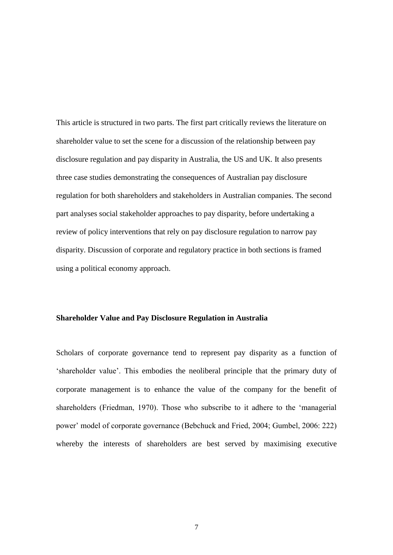This article is structured in two parts. The first part critically reviews the literature on shareholder value to set the scene for a discussion of the relationship between pay disclosure regulation and pay disparity in Australia, the US and UK. It also presents three case studies demonstrating the consequences of Australian pay disclosure regulation for both shareholders and stakeholders in Australian companies. The second part analyses social stakeholder approaches to pay disparity, before undertaking a review of policy interventions that rely on pay disclosure regulation to narrow pay disparity. Discussion of corporate and regulatory practice in both sections is framed using a political economy approach.

#### **Shareholder Value and Pay Disclosure Regulation in Australia**

Scholars of corporate governance tend to represent pay disparity as a function of 'shareholder value'. This embodies the neoliberal principle that the primary duty of corporate management is to enhance the value of the company for the benefit of shareholders (Friedman, 1970). Those who subscribe to it adhere to the 'managerial power' model of corporate governance (Bebchuck and Fried, 2004; Gumbel, 2006: 222) whereby the interests of shareholders are best served by maximising executive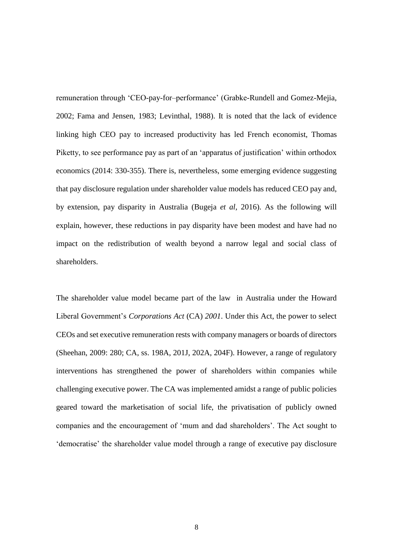remuneration through 'CEO-pay-for–performance' (Grabke-Rundell and Gomez-Mejia, 2002; Fama and Jensen, 1983; Levinthal, 1988). It is noted that the lack of evidence linking high CEO pay to increased productivity has led French economist, Thomas Piketty, to see performance pay as part of an 'apparatus of justification' within orthodox economics (2014: 330-355). There is, nevertheless, some emerging evidence suggesting that pay disclosure regulation under shareholder value models has reduced CEO pay and, by extension, pay disparity in Australia (Bugeja *et al*, 2016). As the following will explain, however, these reductions in pay disparity have been modest and have had no impact on the redistribution of wealth beyond a narrow legal and social class of shareholders.

The shareholder value model became part of the law in Australia under the Howard Liberal Government's *Corporations Act* (CA) *2001*. Under this Act, the power to select CEOs and set executive remuneration rests with company managers or boards of directors (Sheehan, 2009: 280; CA, ss. 198A, 201J, 202A, 204F). However, a range of regulatory interventions has strengthened the power of shareholders within companies while challenging executive power. The CA was implemented amidst a range of public policies geared toward the marketisation of social life, the privatisation of publicly owned companies and the encouragement of 'mum and dad shareholders'. The Act sought to 'democratise' the shareholder value model through a range of executive pay disclosure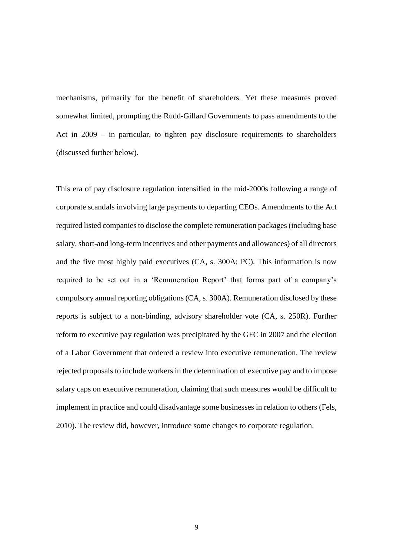mechanisms, primarily for the benefit of shareholders. Yet these measures proved somewhat limited, prompting the Rudd-Gillard Governments to pass amendments to the Act in 2009 – in particular, to tighten pay disclosure requirements to shareholders (discussed further below).

This era of pay disclosure regulation intensified in the mid-2000s following a range of corporate scandals involving large payments to departing CEOs. Amendments to the Act required listed companies to disclose the complete remuneration packages (including base salary, short-and long-term incentives and other payments and allowances) of all directors and the five most highly paid executives (CA, s. 300A; PC). This information is now required to be set out in a 'Remuneration Report' that forms part of a company's compulsory annual reporting obligations (CA, s. 300A). Remuneration disclosed by these reports is subject to a non-binding, advisory shareholder vote (CA, s. 250R). Further reform to executive pay regulation was precipitated by the GFC in 2007 and the election of a Labor Government that ordered a review into executive remuneration. The review rejected proposals to include workers in the determination of executive pay and to impose salary caps on executive remuneration, claiming that such measures would be difficult to implement in practice and could disadvantage some businesses in relation to others (Fels, 2010). The review did, however, introduce some changes to corporate regulation.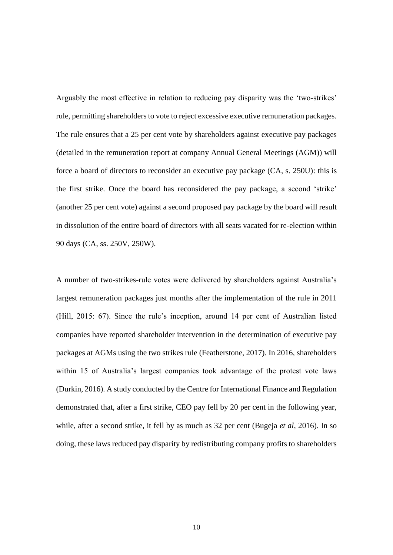Arguably the most effective in relation to reducing pay disparity was the 'two-strikes' rule, permitting shareholders to vote to reject excessive executive remuneration packages. The rule ensures that a 25 per cent vote by shareholders against executive pay packages (detailed in the remuneration report at company Annual General Meetings (AGM)) will force a board of directors to reconsider an executive pay package (CA, s. 250U): this is the first strike. Once the board has reconsidered the pay package, a second 'strike' (another 25 per cent vote) against a second proposed pay package by the board will result in dissolution of the entire board of directors with all seats vacated for re-election within 90 days (CA, ss. 250V, 250W).

A number of two-strikes-rule votes were delivered by shareholders against Australia's largest remuneration packages just months after the implementation of the rule in 2011 (Hill, 2015: 67). Since the rule's inception, around 14 per cent of Australian listed companies have reported shareholder intervention in the determination of executive pay packages at AGMs using the two strikes rule (Featherstone, 2017). In 2016, shareholders within 15 of Australia's largest companies took advantage of the protest vote laws (Durkin, 2016). A study conducted by the Centre for International Finance and Regulation demonstrated that, after a first strike, CEO pay fell by 20 per cent in the following year, while, after a second strike, it fell by as much as 32 per cent (Bugeja *et al*, 2016). In so doing, these laws reduced pay disparity by redistributing company profits to shareholders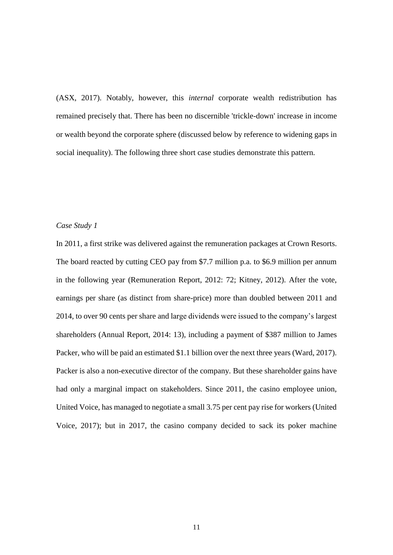(ASX, 2017). Notably, however, this *internal* corporate wealth redistribution has remained precisely that. There has been no discernible 'trickle-down' increase in income or wealth beyond the corporate sphere (discussed below by reference to widening gaps in social inequality). The following three short case studies demonstrate this pattern.

#### *Case Study 1*

In 2011, a first strike was delivered against the remuneration packages at Crown Resorts. The board reacted by cutting CEO pay from \$7.7 million p.a. to \$6.9 million per annum in the following year (Remuneration Report, 2012: 72; Kitney, 2012). After the vote, earnings per share (as distinct from share-price) more than doubled between 2011 and 2014, to over 90 cents per share and large dividends were issued to the company's largest shareholders (Annual Report, 2014: 13), including a payment of \$387 million to James Packer, who will be paid an estimated \$1.1 billion over the next three years (Ward, 2017). Packer is also a non-executive director of the company. But these shareholder gains have had only a marginal impact on stakeholders. Since 2011, the casino employee union, United Voice, has managed to negotiate a small 3.75 per cent pay rise for workers (United Voice, 2017); but in 2017, the casino company decided to sack its poker machine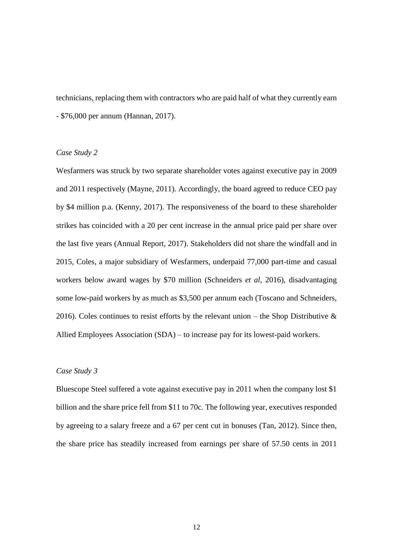technicians, replacing them with contractors who are paid half of what they currently earn - \$76,000 per annum (Hannan, 2017).

#### *Case Study 2*

Wesfarmers was struck by two separate shareholder votes against executive pay in 2009 and 2011 respectively (Mayne, 2011). Accordingly, the board agreed to reduce CEO pay by \$4 million p.a. (Kenny, 2017). The responsiveness of the board to these shareholder strikes has coincided with a 20 per cent increase in the annual price paid per share over the last five years (Annual Report, 2017). Stakeholders did not share the windfall and in 2015, Coles, a major subsidiary of Wesfarmers, underpaid 77,000 part-time and casual workers below award wages by \$70 million (Schneiders *et al*, 2016), disadvantaging some low-paid workers by as much as \$3,500 per annum each (Toscano and Schneiders, 2016). Coles continues to resist efforts by the relevant union – the Shop Distributive  $\&$ Allied Employees Association (SDA) – to increase pay for its lowest-paid workers.

#### *Case Study 3*

Bluescope Steel suffered a vote against executive pay in 2011 when the company lost \$1 billion and the share price fell from \$11 to 70c. The following year, executives responded by agreeing to a salary freeze and a 67 per cent cut in bonuses (Tan, 2012). Since then, the share price has steadily increased from earnings per share of 57.50 cents in 2011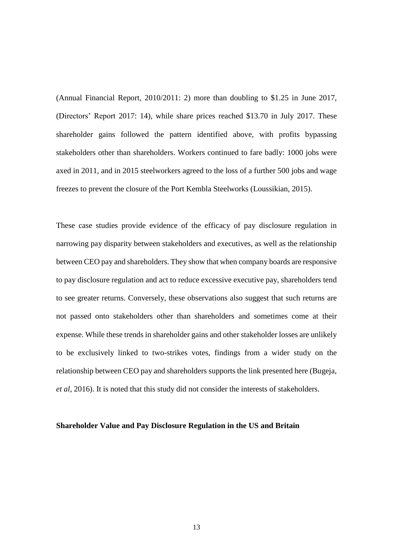(Annual Financial Report, 2010/2011: 2) more than doubling to \$1.25 in June 2017, (Directors' Report 2017: 14), while share prices reached \$13.70 in July 2017. These shareholder gains followed the pattern identified above, with profits bypassing stakeholders other than shareholders. Workers continued to fare badly: 1000 jobs were axed in 2011, and in 2015 steelworkers agreed to the loss of a further 500 jobs and wage freezes to prevent the closure of the Port Kembla Steelworks (Loussikian, 2015).

These case studies provide evidence of the efficacy of pay disclosure regulation in narrowing pay disparity between stakeholders and executives, as well as the relationship between CEO pay and shareholders. They show that when company boards are responsive to pay disclosure regulation and act to reduce excessive executive pay, shareholders tend to see greater returns. Conversely, these observations also suggest that such returns are not passed onto stakeholders other than shareholders and sometimes come at their expense. While these trends in shareholder gains and other stakeholder losses are unlikely to be exclusively linked to two-strikes votes, findings from a wider study on the relationship between CEO pay and shareholders supports the link presented here (Bugeja, *et al*, 2016). It is noted that this study did not consider the interests of stakeholders.

#### **Shareholder Value and Pay Disclosure Regulation in the US and Britain**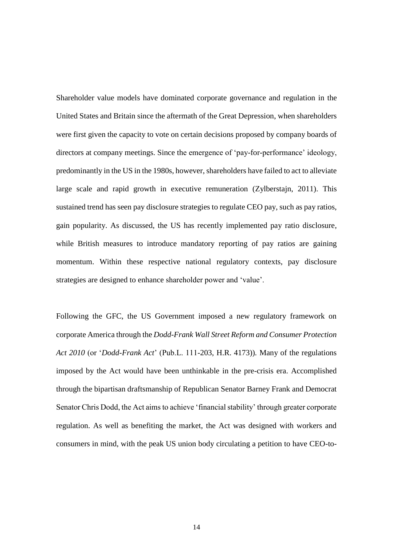Shareholder value models have dominated corporate governance and regulation in the United States and Britain since the aftermath of the Great Depression, when shareholders were first given the capacity to vote on certain decisions proposed by company boards of directors at company meetings. Since the emergence of 'pay-for-performance' ideology, predominantly in the US in the 1980s, however, shareholders have failed to act to alleviate large scale and rapid growth in executive remuneration (Zylberstajn, 2011). This sustained trend has seen pay disclosure strategies to regulate CEO pay, such as pay ratios, gain popularity. As discussed, the US has recently implemented pay ratio disclosure, while British measures to introduce mandatory reporting of pay ratios are gaining momentum. Within these respective national regulatory contexts, pay disclosure strategies are designed to enhance shareholder power and 'value'.

Following the GFC, the US Government imposed a new regulatory framework on corporate America through the *Dodd-Frank Wall Street Reform and Consumer Protection Act 2010* (or '*Dodd-Frank Act*' (Pub.L. 111-203, H.R. 4173))*.* Many of the regulations imposed by the Act would have been unthinkable in the pre-crisis era. Accomplished through the bipartisan draftsmanship of Republican Senator Barney Frank and Democrat Senator Chris Dodd, the Act aims to achieve 'financial stability' through greater corporate regulation. As well as benefiting the market, the Act was designed with workers and consumers in mind, with the peak US union body circulating a petition to have CEO-to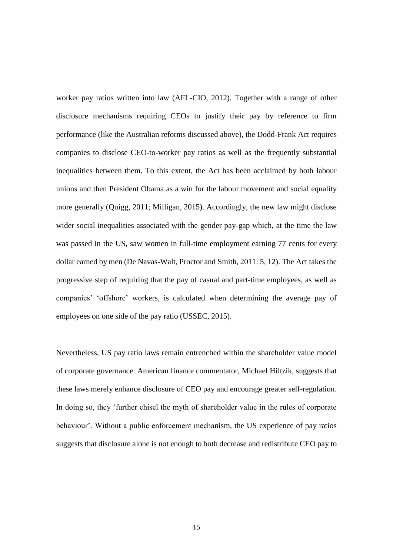worker pay ratios written into law (AFL-CIO, 2012). Together with a range of other disclosure mechanisms requiring CEOs to justify their pay by reference to firm performance (like the Australian reforms discussed above), the Dodd-Frank Act requires companies to disclose CEO-to-worker pay ratios as well as the frequently substantial inequalities between them. To this extent, the Act has been acclaimed by both labour unions and then President Obama as a win for the labour movement and social equality more generally (Quigg, 2011; Milligan, 2015). Accordingly, the new law might disclose wider social inequalities associated with the gender pay-gap which, at the time the law was passed in the US, saw women in full-time employment earning 77 cents for every dollar earned by men (De Navas-Walt, Proctor and Smith, 2011: 5, 12). The Act takes the progressive step of requiring that the pay of casual and part-time employees, as well as companies' 'offshore' workers, is calculated when determining the average pay of employees on one side of the pay ratio (USSEC, 2015).

Nevertheless, US pay ratio laws remain entrenched within the shareholder value model of corporate governance. American finance commentator, Michael Hiltzik, suggests that these laws merely enhance disclosure of CEO pay and encourage greater self-regulation. In doing so, they 'further chisel the myth of shareholder value in the rules of corporate behaviour'. Without a public enforcement mechanism, the US experience of pay ratios suggests that disclosure alone is not enough to both decrease and redistribute CEO pay to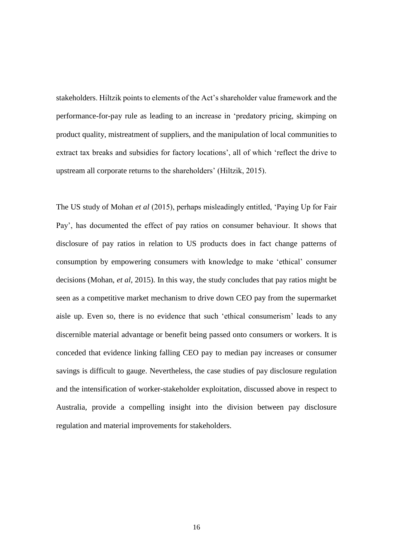stakeholders. Hiltzik points to elements of the Act's shareholder value framework and the performance-for-pay rule as leading to an increase in 'predatory pricing, skimping on product quality, mistreatment of suppliers, and the manipulation of local communities to extract tax breaks and subsidies for factory locations', all of which 'reflect the drive to upstream all corporate returns to the shareholders' (Hiltzik, 2015).

The US study of Mohan *et al* (2015), perhaps misleadingly entitled, 'Paying Up for Fair Pay', has documented the effect of pay ratios on consumer behaviour. It shows that disclosure of pay ratios in relation to US products does in fact change patterns of consumption by empowering consumers with knowledge to make 'ethical' consumer decisions (Mohan, *et al*, 2015). In this way, the study concludes that pay ratios might be seen as a competitive market mechanism to drive down CEO pay from the supermarket aisle up. Even so, there is no evidence that such 'ethical consumerism' leads to any discernible material advantage or benefit being passed onto consumers or workers. It is conceded that evidence linking falling CEO pay to median pay increases or consumer savings is difficult to gauge. Nevertheless, the case studies of pay disclosure regulation and the intensification of worker-stakeholder exploitation, discussed above in respect to Australia, provide a compelling insight into the division between pay disclosure regulation and material improvements for stakeholders.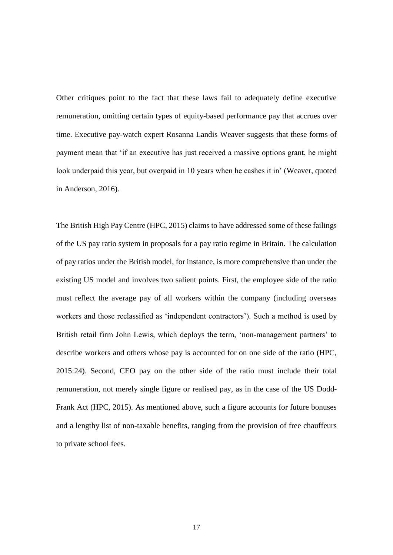Other critiques point to the fact that these laws fail to adequately define executive remuneration, omitting certain types of equity-based performance pay that accrues over time. Executive pay-watch expert Rosanna Landis Weaver suggests that these forms of payment mean that 'if an executive has just received a massive options grant, he might look underpaid this year, but overpaid in 10 years when he cashes it in' (Weaver, quoted in Anderson, 2016).

The British High Pay Centre (HPC, 2015) claims to have addressed some of these failings of the US pay ratio system in proposals for a pay ratio regime in Britain. The calculation of pay ratios under the British model, for instance, is more comprehensive than under the existing US model and involves two salient points. First, the employee side of the ratio must reflect the average pay of all workers within the company (including overseas workers and those reclassified as 'independent contractors'). Such a method is used by British retail firm John Lewis, which deploys the term, 'non-management partners' to describe workers and others whose pay is accounted for on one side of the ratio (HPC, 2015:24). Second, CEO pay on the other side of the ratio must include their total remuneration, not merely single figure or realised pay, as in the case of the US Dodd-Frank Act (HPC, 2015). As mentioned above, such a figure accounts for future bonuses and a lengthy list of non-taxable benefits, ranging from the provision of free chauffeurs to private school fees.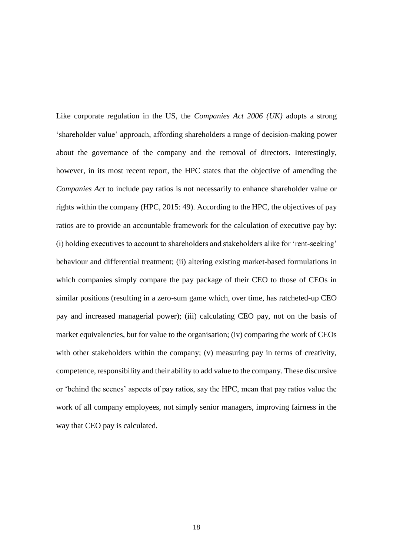Like corporate regulation in the US, the *Companies Act 2006 (UK)* adopts a strong 'shareholder value' approach, affording shareholders a range of decision-making power about the governance of the company and the removal of directors. Interestingly, however, in its most recent report, the HPC states that the objective of amending the *Companies Act* to include pay ratios is not necessarily to enhance shareholder value or rights within the company (HPC, 2015: 49). According to the HPC, the objectives of pay ratios are to provide an accountable framework for the calculation of executive pay by: (i) holding executives to account to shareholders and stakeholders alike for 'rent-seeking' behaviour and differential treatment; (ii) altering existing market-based formulations in which companies simply compare the pay package of their CEO to those of CEOs in similar positions (resulting in a zero-sum game which, over time, has ratcheted-up CEO pay and increased managerial power); (iii) calculating CEO pay, not on the basis of market equivalencies, but for value to the organisation; (iv) comparing the work of CEOs with other stakeholders within the company; (v) measuring pay in terms of creativity, competence, responsibility and their ability to add value to the company. These discursive or 'behind the scenes' aspects of pay ratios, say the HPC, mean that pay ratios value the work of all company employees, not simply senior managers, improving fairness in the way that CEO pay is calculated.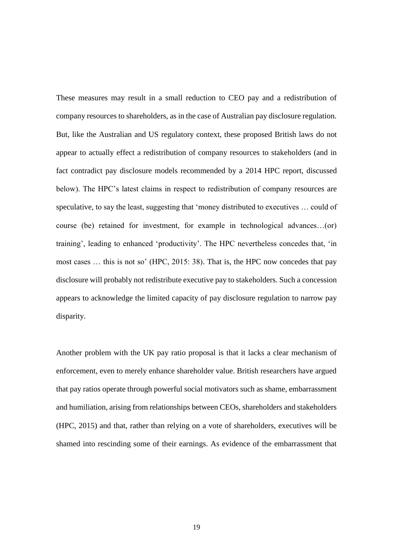These measures may result in a small reduction to CEO pay and a redistribution of company resources to shareholders, as in the case of Australian pay disclosure regulation. But, like the Australian and US regulatory context, these proposed British laws do not appear to actually effect a redistribution of company resources to stakeholders (and in fact contradict pay disclosure models recommended by a 2014 HPC report, discussed below). The HPC's latest claims in respect to redistribution of company resources are speculative, to say the least, suggesting that 'money distributed to executives … could of course (be) retained for investment, for example in technological advances…(or) training', leading to enhanced 'productivity'. The HPC nevertheless concedes that, 'in most cases … this is not so' (HPC, 2015: 38). That is, the HPC now concedes that pay disclosure will probably not redistribute executive pay to stakeholders. Such a concession appears to acknowledge the limited capacity of pay disclosure regulation to narrow pay disparity.

Another problem with the UK pay ratio proposal is that it lacks a clear mechanism of enforcement, even to merely enhance shareholder value. British researchers have argued that pay ratios operate through powerful social motivators such as shame, embarrassment and humiliation, arising from relationships between CEOs, shareholders and stakeholders (HPC, 2015) and that, rather than relying on a vote of shareholders, executives will be shamed into rescinding some of their earnings. As evidence of the embarrassment that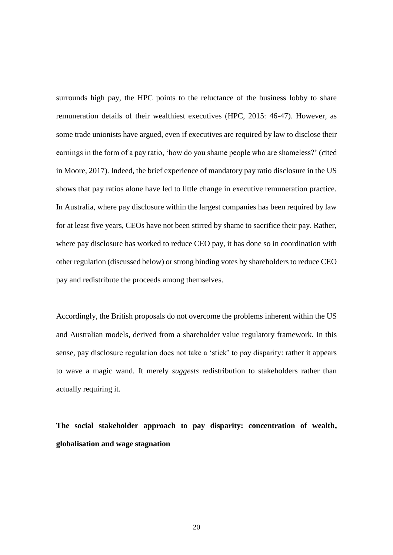surrounds high pay, the HPC points to the reluctance of the business lobby to share remuneration details of their wealthiest executives (HPC, 2015: 46-47). However, as some trade unionists have argued, even if executives are required by law to disclose their earnings in the form of a pay ratio, 'how do you shame people who are shameless?' (cited in Moore, 2017). Indeed, the brief experience of mandatory pay ratio disclosure in the US shows that pay ratios alone have led to little change in executive remuneration practice. In Australia, where pay disclosure within the largest companies has been required by law for at least five years, CEOs have not been stirred by shame to sacrifice their pay. Rather, where pay disclosure has worked to reduce CEO pay, it has done so in coordination with other regulation (discussed below) or strong binding votes by shareholders to reduce CEO pay and redistribute the proceeds among themselves.

Accordingly, the British proposals do not overcome the problems inherent within the US and Australian models, derived from a shareholder value regulatory framework. In this sense, pay disclosure regulation does not take a 'stick' to pay disparity: rather it appears to wave a magic wand. It merely *suggests* redistribution to stakeholders rather than actually requiring it.

**The social stakeholder approach to pay disparity: concentration of wealth, globalisation and wage stagnation**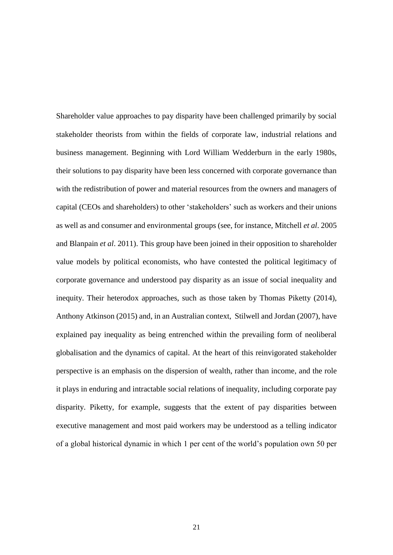Shareholder value approaches to pay disparity have been challenged primarily by social stakeholder theorists from within the fields of corporate law, industrial relations and business management. Beginning with Lord William Wedderburn in the early 1980s, their solutions to pay disparity have been less concerned with corporate governance than with the redistribution of power and material resources from the owners and managers of capital (CEOs and shareholders) to other 'stakeholders' such as workers and their unions as well as and consumer and environmental groups (see, for instance, Mitchell *et al*. 2005 and Blanpain *et al*. 2011). This group have been joined in their opposition to shareholder value models by political economists, who have contested the political legitimacy of corporate governance and understood pay disparity as an issue of social inequality and inequity. Their heterodox approaches, such as those taken by Thomas Piketty (2014), Anthony Atkinson (2015) and, in an Australian context, Stilwell and Jordan (2007), have explained pay inequality as being entrenched within the prevailing form of neoliberal globalisation and the dynamics of capital. At the heart of this reinvigorated stakeholder perspective is an emphasis on the dispersion of wealth, rather than income, and the role it plays in enduring and intractable social relations of inequality, including corporate pay disparity. Piketty, for example, suggests that the extent of pay disparities between executive management and most paid workers may be understood as a telling indicator of a global historical dynamic in which 1 per cent of the world's population own 50 per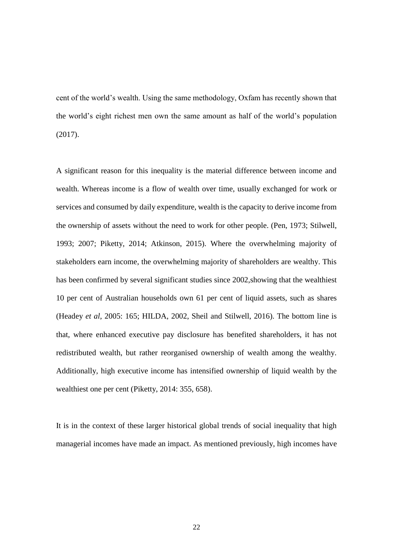cent of the world's wealth. Using the same methodology, Oxfam has recently shown that the world's eight richest men own the same amount as half of the world's population (2017).

A significant reason for this inequality is the material difference between income and wealth. Whereas income is a flow of wealth over time, usually exchanged for work or services and consumed by daily expenditure, wealth is the capacity to derive income from the ownership of assets without the need to work for other people. (Pen, 1973; Stilwell, 1993; 2007; Piketty, 2014; Atkinson, 2015). Where the overwhelming majority of stakeholders earn income, the overwhelming majority of shareholders are wealthy. This has been confirmed by several significant studies since 2002,showing that the wealthiest 10 per cent of Australian households own 61 per cent of liquid assets, such as shares (Headey *et al*, 2005: 165; HILDA, 2002, Sheil and Stilwell, 2016). The bottom line is that, where enhanced executive pay disclosure has benefited shareholders, it has not redistributed wealth, but rather reorganised ownership of wealth among the wealthy. Additionally, high executive income has intensified ownership of liquid wealth by the wealthiest one per cent (Piketty, 2014: 355, 658).

It is in the context of these larger historical global trends of social inequality that high managerial incomes have made an impact. As mentioned previously, high incomes have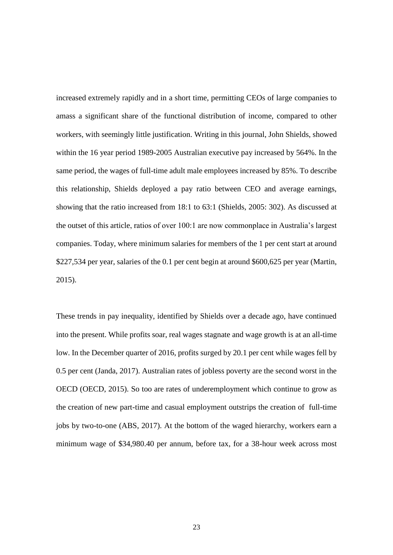increased extremely rapidly and in a short time, permitting CEOs of large companies to amass a significant share of the functional distribution of income, compared to other workers, with seemingly little justification. Writing in this journal, John Shields, showed within the 16 year period 1989-2005 Australian executive pay increased by 564%. In the same period, the wages of full-time adult male employees increased by 85%. To describe this relationship, Shields deployed a pay ratio between CEO and average earnings, showing that the ratio increased from 18:1 to 63:1 (Shields, 2005: 302). As discussed at the outset of this article, ratios of over 100:1 are now commonplace in Australia's largest companies. Today, where minimum salaries for members of the 1 per cent start at around \$227,534 per year, salaries of the 0.1 per cent begin at around \$600,625 per year (Martin, 2015).

These trends in pay inequality, identified by Shields over a decade ago, have continued into the present. While profits soar, real wages stagnate and wage growth is at an all-time low. In the December quarter of 2016, profits surged by 20.1 per cent while wages fell by 0.5 per cent (Janda, 2017). Australian rates of jobless poverty are the second worst in the OECD (OECD, 2015). So too are rates of underemployment which continue to grow as the creation of new part-time and casual employment outstrips the creation of full-time jobs by two-to-one (ABS, 2017). At the bottom of the waged hierarchy, workers earn a minimum wage of \$34,980.40 per annum, before tax, for a 38-hour week across most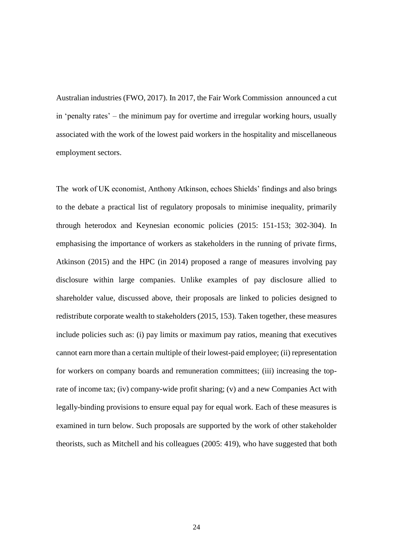Australian industries (FWO, 2017). In 2017, the Fair Work Commission announced a cut in 'penalty rates' – the minimum pay for overtime and irregular working hours, usually associated with the work of the lowest paid workers in the hospitality and miscellaneous employment sectors.

The work of UK economist, Anthony Atkinson, echoes Shields' findings and also brings to the debate a practical list of regulatory proposals to minimise inequality, primarily through heterodox and Keynesian economic policies (2015: 151-153; 302-304). In emphasising the importance of workers as stakeholders in the running of private firms, Atkinson (2015) and the HPC (in 2014) proposed a range of measures involving pay disclosure within large companies. Unlike examples of pay disclosure allied to shareholder value, discussed above, their proposals are linked to policies designed to redistribute corporate wealth to stakeholders (2015, 153). Taken together, these measures include policies such as: (i) pay limits or maximum pay ratios, meaning that executives cannot earn more than a certain multiple of their lowest-paid employee; (ii) representation for workers on company boards and remuneration committees; (iii) increasing the toprate of income tax; (iv) company-wide profit sharing; (v) and a new Companies Act with legally-binding provisions to ensure equal pay for equal work. Each of these measures is examined in turn below. Such proposals are supported by the work of other stakeholder theorists, such as Mitchell and his colleagues (2005: 419), who have suggested that both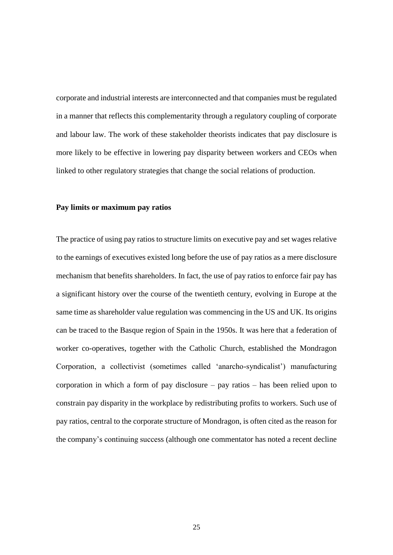corporate and industrial interests are interconnected and that companies must be regulated in a manner that reflects this complementarity through a regulatory coupling of corporate and labour law. The work of these stakeholder theorists indicates that pay disclosure is more likely to be effective in lowering pay disparity between workers and CEOs when linked to other regulatory strategies that change the social relations of production.

#### **Pay limits or maximum pay ratios**

The practice of using pay ratios to structure limits on executive pay and set wages relative to the earnings of executives existed long before the use of pay ratios as a mere disclosure mechanism that benefits shareholders. In fact, the use of pay ratios to enforce fair pay has a significant history over the course of the twentieth century, evolving in Europe at the same time as shareholder value regulation was commencing in the US and UK. Its origins can be traced to the Basque region of Spain in the 1950s. It was here that a federation of worker co-operatives, together with the Catholic Church, established the Mondragon Corporation, a collectivist (sometimes called 'anarcho-syndicalist') manufacturing corporation in which a form of pay disclosure – pay ratios – has been relied upon to constrain pay disparity in the workplace by redistributing profits to workers. Such use of pay ratios, central to the corporate structure of Mondragon, is often cited as the reason for the company's continuing success (although one commentator has noted a recent decline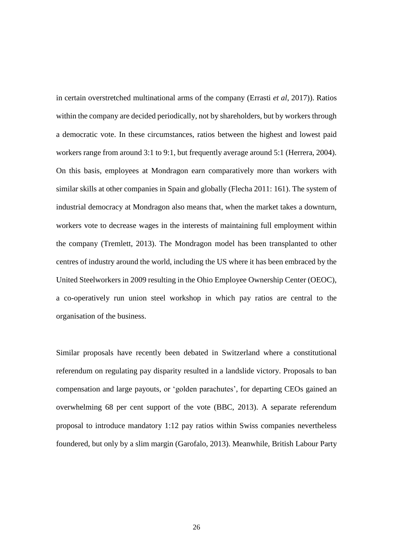in certain overstretched multinational arms of the company (Errasti *et al*, 2017)). Ratios within the company are decided periodically, not by shareholders, but by workers through a democratic vote. In these circumstances, ratios between the highest and lowest paid workers range from around 3:1 to 9:1, but frequently average around 5:1 (Herrera, 2004). On this basis, employees at Mondragon earn comparatively more than workers with similar skills at other companies in Spain and globally (Flecha 2011: 161). The system of industrial democracy at Mondragon also means that, when the market takes a downturn, workers vote to decrease wages in the interests of maintaining full employment within the company (Tremlett, 2013). The Mondragon model has been transplanted to other centres of industry around the world, including the US where it has been embraced by the United Steelworkers in 2009 resulting in the Ohio Employee Ownership Center (OEOC), a co-operatively run union steel workshop in which pay ratios are central to the organisation of the business.

Similar proposals have recently been debated in Switzerland where a constitutional referendum on regulating pay disparity resulted in a landslide victory. Proposals to ban compensation and large payouts, or 'golden parachutes', for departing CEOs gained an overwhelming 68 per cent support of the vote (BBC, 2013). A separate referendum proposal to introduce mandatory 1:12 pay ratios within Swiss companies nevertheless foundered, but only by a slim margin (Garofalo, 2013). Meanwhile, British Labour Party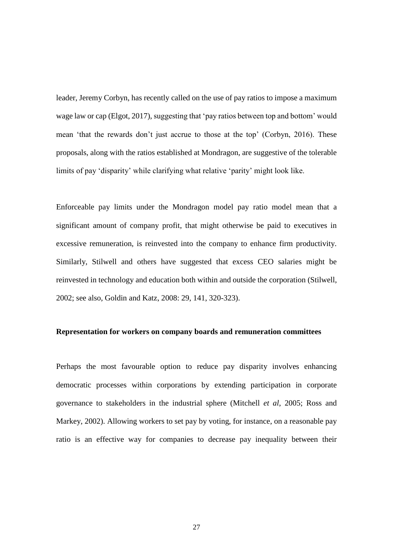leader, Jeremy Corbyn, has recently called on the use of pay ratios to impose a maximum wage law or cap (Elgot, 2017), suggesting that 'pay ratios between top and bottom' would mean 'that the rewards don't just accrue to those at the top' (Corbyn, 2016). These proposals, along with the ratios established at Mondragon, are suggestive of the tolerable limits of pay 'disparity' while clarifying what relative 'parity' might look like.

Enforceable pay limits under the Mondragon model pay ratio model mean that a significant amount of company profit, that might otherwise be paid to executives in excessive remuneration, is reinvested into the company to enhance firm productivity. Similarly, Stilwell and others have suggested that excess CEO salaries might be reinvested in technology and education both within and outside the corporation (Stilwell, 2002; see also, Goldin and Katz, 2008: 29, 141, 320-323).

#### **Representation for workers on company boards and remuneration committees**

Perhaps the most favourable option to reduce pay disparity involves enhancing democratic processes within corporations by extending participation in corporate governance to stakeholders in the industrial sphere (Mitchell *et al*, 2005; Ross and Markey, 2002). Allowing workers to set pay by voting, for instance, on a reasonable pay ratio is an effective way for companies to decrease pay inequality between their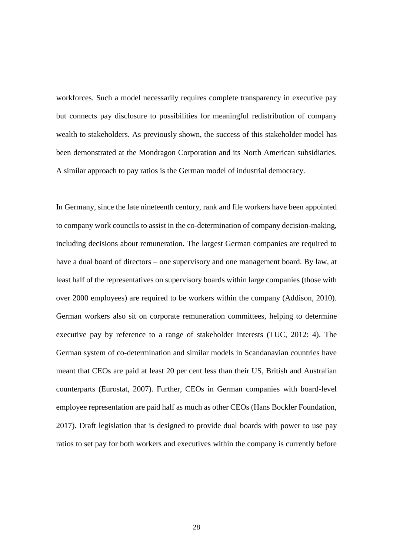workforces. Such a model necessarily requires complete transparency in executive pay but connects pay disclosure to possibilities for meaningful redistribution of company wealth to stakeholders. As previously shown, the success of this stakeholder model has been demonstrated at the Mondragon Corporation and its North American subsidiaries. A similar approach to pay ratios is the German model of industrial democracy.

In Germany, since the late nineteenth century, rank and file workers have been appointed to company work councils to assist in the co-determination of company decision-making, including decisions about remuneration. The largest German companies are required to have a dual board of directors – one supervisory and one management board. By law, at least half of the representatives on supervisory boards within large companies (those with over 2000 employees) are required to be workers within the company (Addison, 2010). German workers also sit on corporate remuneration committees, helping to determine executive pay by reference to a range of stakeholder interests (TUC, 2012: 4). The German system of co-determination and similar models in Scandanavian countries have meant that CEOs are paid at least 20 per cent less than their US, British and Australian counterparts (Eurostat, 2007). Further, CEOs in German companies with board-level employee representation are paid half as much as other CEOs (Hans Bockler Foundation, 2017). Draft legislation that is designed to provide dual boards with power to use pay ratios to set pay for both workers and executives within the company is currently before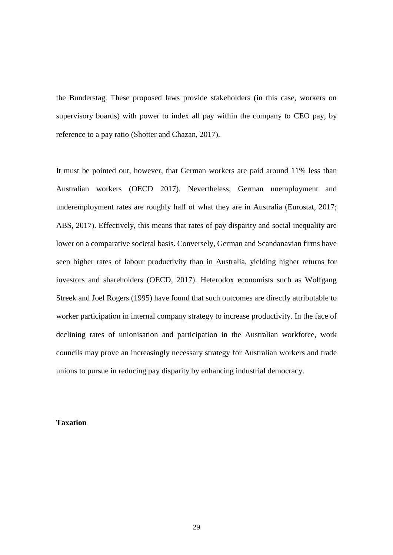the Bunderstag. These proposed laws provide stakeholders (in this case, workers on supervisory boards) with power to index all pay within the company to CEO pay, by reference to a pay ratio (Shotter and Chazan, 2017).

It must be pointed out, however, that German workers are paid around 11% less than Australian workers (OECD 2017). Nevertheless, German unemployment and underemployment rates are roughly half of what they are in Australia (Eurostat, 2017; ABS, 2017). Effectively, this means that rates of pay disparity and social inequality are lower on a comparative societal basis. Conversely, German and Scandanavian firms have seen higher rates of labour productivity than in Australia, yielding higher returns for investors and shareholders (OECD, 2017). Heterodox economists such as Wolfgang Streek and Joel Rogers (1995) have found that such outcomes are directly attributable to worker participation in internal company strategy to increase productivity. In the face of declining rates of unionisation and participation in the Australian workforce, work councils may prove an increasingly necessary strategy for Australian workers and trade unions to pursue in reducing pay disparity by enhancing industrial democracy.

### **Taxation**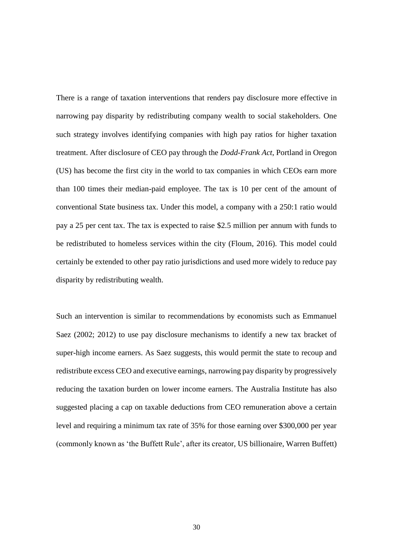There is a range of taxation interventions that renders pay disclosure more effective in narrowing pay disparity by redistributing company wealth to social stakeholders. One such strategy involves identifying companies with high pay ratios for higher taxation treatment. After disclosure of CEO pay through the *Dodd-Frank Act*, Portland in Oregon (US) has become the first city in the world to tax companies in which CEOs earn more than 100 times their median-paid employee. The tax is 10 per cent of the amount of conventional State business tax. Under this model, a company with a 250:1 ratio would pay a 25 per cent tax. The tax is expected to raise \$2.5 million per annum with funds to be redistributed to homeless services within the city (Floum, 2016). This model could certainly be extended to other pay ratio jurisdictions and used more widely to reduce pay disparity by redistributing wealth.

Such an intervention is similar to recommendations by economists such as Emmanuel Saez (2002; 2012) to use pay disclosure mechanisms to identify a new tax bracket of super-high income earners. As Saez suggests, this would permit the state to recoup and redistribute excess CEO and executive earnings, narrowing pay disparity by progressively reducing the taxation burden on lower income earners. The Australia Institute has also suggested placing a cap on taxable deductions from CEO remuneration above a certain level and requiring a minimum tax rate of 35% for those earning over \$300,000 per year (commonly known as 'the Buffett Rule', after its creator, US billionaire, Warren Buffett)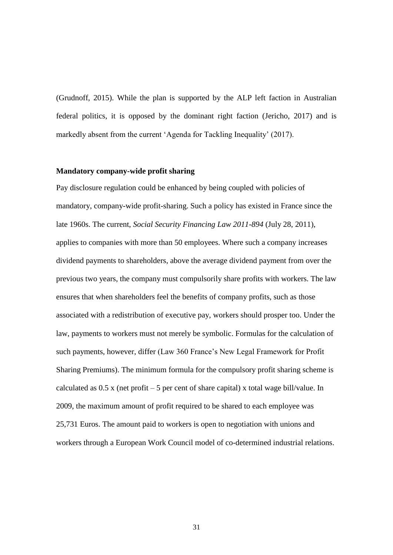(Grudnoff, 2015). While the plan is supported by the ALP left faction in Australian federal politics, it is opposed by the dominant right faction (Jericho, 2017) and is markedly absent from the current 'Agenda for Tackling Inequality' (2017).

# **Mandatory company-wide profit sharing**

Pay disclosure regulation could be enhanced by being coupled with policies of mandatory, company-wide profit-sharing. Such a policy has existed in France since the late 1960s. The current, *Social Security Financing Law 2011-894* (July 28, 2011), applies to companies with more than 50 employees. Where such a company increases dividend payments to shareholders, above the average dividend payment from over the previous two years, the company must compulsorily share profits with workers. The law ensures that when shareholders feel the benefits of company profits, such as those associated with a redistribution of executive pay, workers should prosper too. Under the law, payments to workers must not merely be symbolic. Formulas for the calculation of such payments, however, differ (Law 360 France's New Legal Framework for Profit Sharing Premiums). The minimum formula for the compulsory profit sharing scheme is calculated as  $0.5 \times$  (net profit – 5 per cent of share capital) x total wage bill/value. In 2009, the maximum amount of profit required to be shared to each employee was 25,731 Euros. The amount paid to workers is open to negotiation with unions and workers through a European Work Council model of co-determined industrial relations.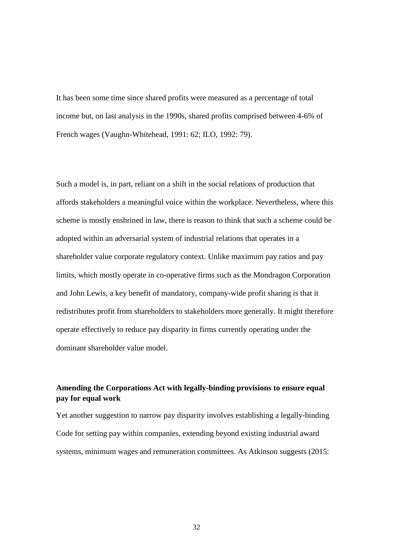It has been some time since shared profits were measured as a percentage of total income but, on last analysis in the 1990s, shared profits comprised between 4-6% of French wages (Vaughn-Whitehead, 1991: 62; ILO, 1992: 79).

Such a model is, in part, reliant on a shift in the social relations of production that affords stakeholders a meaningful voice within the workplace. Nevertheless, where this scheme is mostly enshrined in law, there is reason to think that such a scheme could be adopted within an adversarial system of industrial relations that operates in a shareholder value corporate regulatory context. Unlike maximum pay ratios and pay limits, which mostly operate in co-operative firms such as the Mondragon Corporation and John Lewis, a key benefit of mandatory, company-wide profit sharing is that it redistributes profit from shareholders to stakeholders more generally. It might therefore operate effectively to reduce pay disparity in firms currently operating under the dominant shareholder value model.

# **Amending the Corporations Act with legally-binding provisions to ensure equal pay for equal work**

Yet another suggestion to narrow pay disparity involves establishing a legally-binding Code for setting pay within companies, extending beyond existing industrial award systems, minimum wages and remuneration committees. As Atkinson suggests (2015:

32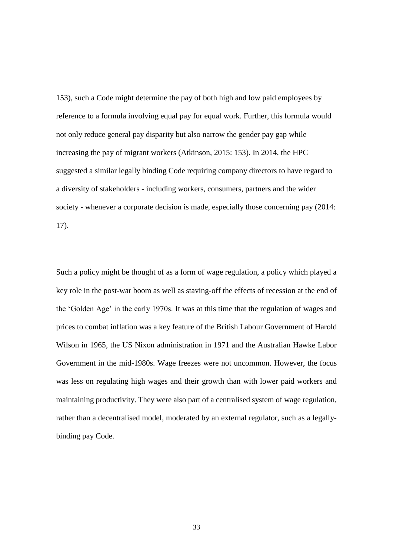153), such a Code might determine the pay of both high and low paid employees by reference to a formula involving equal pay for equal work. Further, this formula would not only reduce general pay disparity but also narrow the gender pay gap while increasing the pay of migrant workers (Atkinson, 2015: 153). In 2014, the HPC suggested a similar legally binding Code requiring company directors to have regard to a diversity of stakeholders - including workers, consumers, partners and the wider society - whenever a corporate decision is made, especially those concerning pay (2014: 17).

Such a policy might be thought of as a form of wage regulation, a policy which played a key role in the post-war boom as well as staving-off the effects of recession at the end of the 'Golden Age' in the early 1970s. It was at this time that the regulation of wages and prices to combat inflation was a key feature of the British Labour Government of Harold Wilson in 1965, the US Nixon administration in 1971 and the Australian Hawke Labor Government in the mid-1980s. Wage freezes were not uncommon. However, the focus was less on regulating high wages and their growth than with lower paid workers and maintaining productivity. They were also part of a centralised system of wage regulation, rather than a decentralised model, moderated by an external regulator, such as a legallybinding pay Code.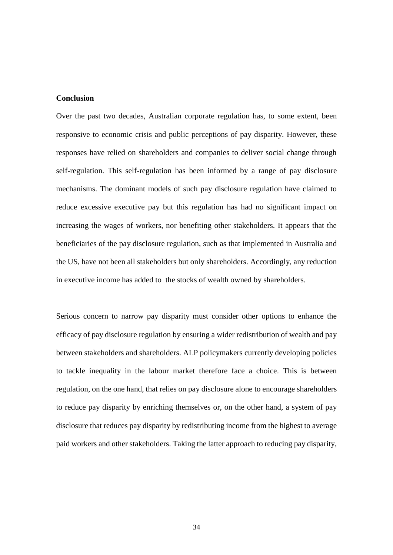## **Conclusion**

Over the past two decades, Australian corporate regulation has, to some extent, been responsive to economic crisis and public perceptions of pay disparity. However, these responses have relied on shareholders and companies to deliver social change through self-regulation. This self-regulation has been informed by a range of pay disclosure mechanisms. The dominant models of such pay disclosure regulation have claimed to reduce excessive executive pay but this regulation has had no significant impact on increasing the wages of workers, nor benefiting other stakeholders. It appears that the beneficiaries of the pay disclosure regulation, such as that implemented in Australia and the US, have not been all stakeholders but only shareholders. Accordingly, any reduction in executive income has added to the stocks of wealth owned by shareholders.

Serious concern to narrow pay disparity must consider other options to enhance the efficacy of pay disclosure regulation by ensuring a wider redistribution of wealth and pay between stakeholders and shareholders. ALP policymakers currently developing policies to tackle inequality in the labour market therefore face a choice. This is between regulation, on the one hand, that relies on pay disclosure alone to encourage shareholders to reduce pay disparity by enriching themselves or, on the other hand, a system of pay disclosure that reduces pay disparity by redistributing income from the highest to average paid workers and other stakeholders. Taking the latter approach to reducing pay disparity,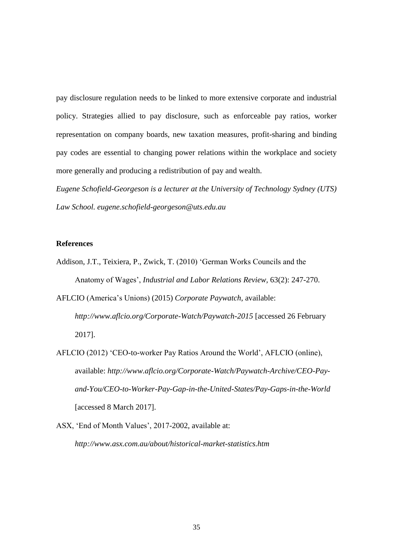pay disclosure regulation needs to be linked to more extensive corporate and industrial policy. Strategies allied to pay disclosure, such as enforceable pay ratios, worker representation on company boards, new taxation measures, profit-sharing and binding pay codes are essential to changing power relations within the workplace and society more generally and producing a redistribution of pay and wealth.

*Eugene Schofield-Georgeson is a lecturer at the University of Technology Sydney (UTS) Law School. eugene.schofield-georgeson@uts.edu.au*

#### **References**

- Addison, J.T., Teixiera, P., Zwick, T. (2010) 'German Works Councils and the Anatomy of Wages', *Industrial and Labor Relations Review,* 63(2): 247-270.
- AFLCIO (America's Unions) (2015) *Corporate Paywatch*, available: *http://www.aflcio.org/Corporate-Watch/Paywatch-2015* [accessed 26 February 2017].
- AFLCIO (2012) 'CEO-to-worker Pay Ratios Around the World', AFLCIO (online), available: *http://www.aflcio.org/Corporate-Watch/Paywatch-Archive/CEO-Payand-You/CEO-to-Worker-Pay-Gap-in-the-United-States/Pay-Gaps-in-the-World* [accessed 8 March 2017].
- ASX, 'End of Month Values', 2017-2002, available at: *http://www.asx.com.au/about/historical-market-statistics.htm*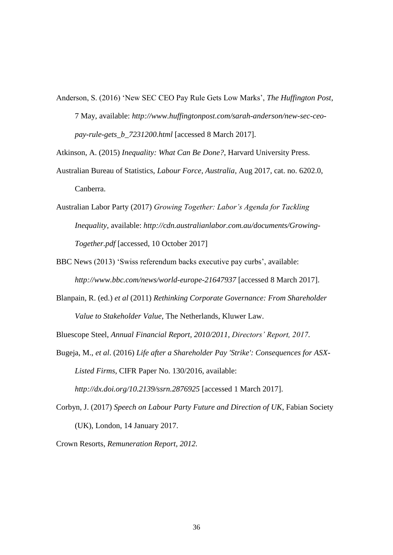Anderson, S. (2016) 'New SEC CEO Pay Rule Gets Low Marks', *The Huffington Post*, 7 May, available: *http://www.huffingtonpost.com/sarah-anderson/new-sec-ceopay-rule-gets\_b\_7231200.html* [accessed 8 March 2017].

Atkinson, A. (2015) *Inequality: What Can Be Done?*, Harvard University Press.

- Australian Bureau of Statistics, *Labour Force, Australia*, Aug 2017, cat. no. 6202.0, Canberra.
- Australian Labor Party (2017) *Growing Together: Labor's Agenda for Tackling Inequality*, available: *[http://cdn.australianlabor.com.au/documents/Growing-](http://cdn.australianlabor.com.au/documents/Growing-Together.pdf)[Together.pdf](http://cdn.australianlabor.com.au/documents/Growing-Together.pdf)* [accessed, 10 October 2017]
- BBC News (2013) 'Swiss referendum backs executive pay curbs', available: *http://www.bbc.com/news/world-europe-21647937* [accessed 8 March 2017].
- Blanpain, R. (ed.) *et al* (2011) *Rethinking Corporate Governance: From Shareholder Value to Stakeholder Value*, The Netherlands, Kluwer Law.

Bluescope Steel, *Annual Financial Report, 2010/2011, Directors' Report, 2017.*

Bugeja, M., *et al*. (2016) *Life after a Shareholder Pay 'Strike': Consequences for ASX-Listed Firms*, CIFR Paper No. 130/2016, available: *http://dx.doi.org/10.2139/ssrn.2876925* [accessed 1 March 2017].

Corbyn, J. (2017) *Speech on Labour Party Future and Direction of UK*, Fabian Society

(UK), London, 14 January 2017.

Crown Resorts, *Remuneration Report, 2012.*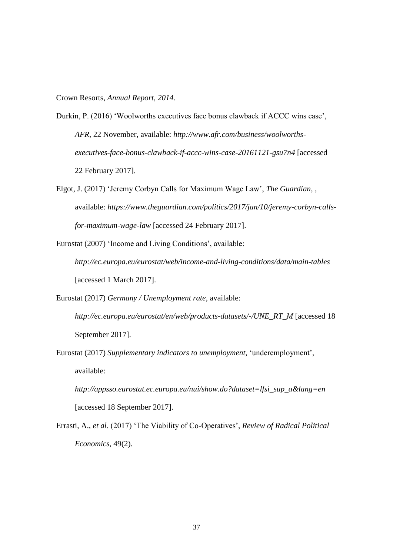Crown Resorts, *Annual Report, 2014.*

- Durkin, P. (2016) 'Woolworths executives face bonus clawback if ACCC wins case', *AFR*, 22 November, available: *http://www.afr.com/business/woolworthsexecutives-face-bonus-clawback-if-accc-wins-case-20161121-gsu7n4* [accessed 22 February 2017].
- Elgot, J. (2017) 'Jeremy Corbyn Calls for Maximum Wage Law', *The Guardian*, , available: *https://www.theguardian.com/politics/2017/jan/10/jeremy-corbyn-callsfor-maximum-wage-law* [accessed 24 February 2017].
- Eurostat (2007) 'Income and Living Conditions', available: *http://ec.europa.eu/eurostat/web/income-and-living-conditions/data/main-tables* [accessed 1 March 2017].
- Eurostat (2017) *Germany / Unemployment rate*, available: *[http://ec.europa.eu/eurostat/en/web/products-datasets/-/UNE\\_RT\\_M](http://ec.europa.eu/eurostat/en/web/products-datasets/-/UNE_RT_M)* [accessed 18 September 2017].
- Eurostat (2017) *Supplementary indicators to unemployment,* 'underemployment', available:
	- *[http://appsso.eurostat.ec.europa.eu/nui/show.do?dataset=lfsi\\_sup\\_a&lang=en](http://appsso.eurostat.ec.europa.eu/nui/show.do?dataset=lfsi_sup_a&lang=en)* [accessed 18 September 2017].
- Errasti, A., *et al*. (2017) 'The Viability of Co-Operatives', *Review of Radical Political Economics*, 49(2).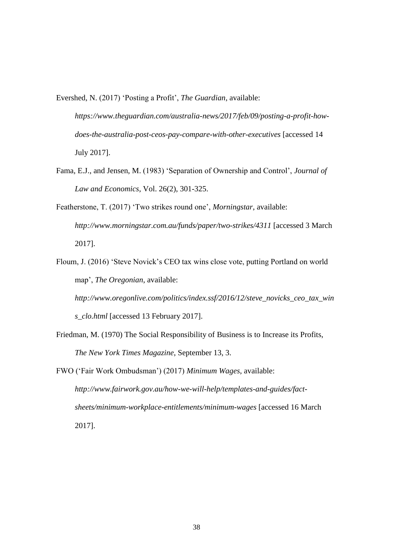Evershed, N. (2017) 'Posting a Profit', *The Guardian*, available:

*https://www.theguardian.com/australia-news/2017/feb/09/posting-a-profit-howdoes-the-australia-post-ceos-pay-compare-with-other-executives* [accessed 14 July 2017].

- Fama, E.J., and Jensen, M. (1983) 'Separation of Ownership and Control', *Journal of Law and Economics*, Vol. 26(2), 301-325.
- Featherstone, T. (2017) 'Two strikes round one', *Morningstar*, available: *http://www.morningstar.com.au/funds/paper/two-strikes/4311* [accessed 3 March 2017].
- Floum, J. (2016) 'Steve Novick's CEO tax wins close vote, putting Portland on world map', *The Oregonian*, available:

*http://www.oregonlive.com/politics/index.ssf/2016/12/steve\_novicks\_ceo\_tax\_win s\_clo.html* [accessed 13 February 2017].

- Friedman, M. (1970) The Social Responsibility of Business is to Increase its Profits, *The New York Times Magazine*, September 13, 3.
- FWO ('Fair Work Ombudsman') (2017) *Minimum Wages*, available: *http://www.fairwork.gov.au/how-we-will-help/templates-and-guides/factsheets/minimum-workplace-entitlements/minimum-wages* [accessed 16 March 2017].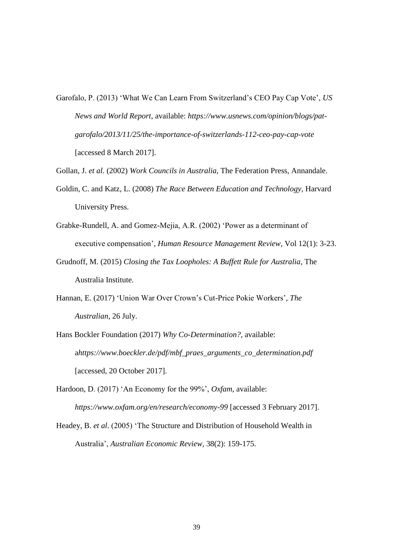- Garofalo, P. (2013) 'What We Can Learn From Switzerland's CEO Pay Cap Vote', *US News and World Report*, available: *https://www.usnews.com/opinion/blogs/patgarofalo/2013/11/25/the-importance-of-switzerlands-112-ceo-pay-cap-vote*  [accessed 8 March 2017].
- Gollan, J. *et al.* (2002) *Work Councils in Australia*, The Federation Press, Annandale.
- Goldin, C. and Katz, L. (2008) *The Race Between Education and Technology*, Harvard University Press.
- Grabke-Rundell, A. and Gomez-Mejia, A.R. (2002) 'Power as a determinant of executive compensation', *Human Resource Management Review*, Vol 12(1): 3-23.
- Grudnoff, M. (2015) *Closing the Tax Loopholes: A Buffett Rule for Australia*, The Australia Institute.
- Hannan, E. (2017) 'Union War Over Crown's Cut-Price Pokie Workers'*, The Australian*, 26 July.
- Hans Bockler Foundation (2017) *Why Co-Determination?,* available: a*https://www.boeckler.de/pdf/mbf\_praes\_arguments\_co\_determination.pdf*  [accessed, 20 October 2017].
- Hardoon, D. (2017) 'An Economy for the 99%', *Oxfam*, available: *https://www.oxfam.org/en/research/economy-99* [accessed 3 February 2017].
- Headey, B. *et al*. (2005) 'The Structure and Distribution of Household Wealth in Australia', *Australian Economic Review*, 38(2): 159-175.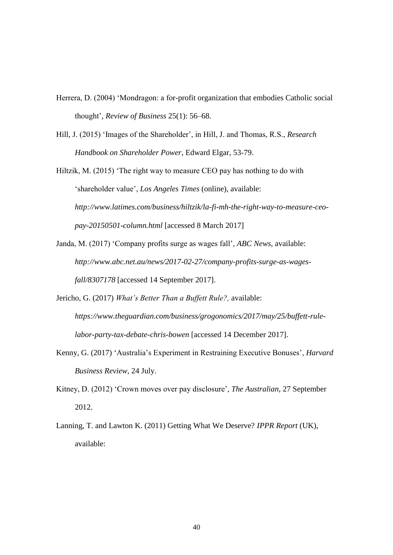- Herrera, D. (2004) 'Mondragon: a for-profit organization that embodies Catholic social thought', *Review of Business* 25(1): 56–68.
- Hill, J. (2015) 'Images of the Shareholder', in Hill, J. and Thomas, R.S., *Research Handbook on Shareholder Power*, Edward Elgar, 53-79.

Hiltzik, M. (2015) 'The right way to measure CEO pay has nothing to do with 'shareholder value', *Los Angeles Times* (online), available: *http://www.latimes.com/business/hiltzik/la-fi-mh-the-right-way-to-measure-ceopay-20150501-column.html* [accessed 8 March 2017]

- Janda, M. (2017) 'Company profits surge as wages fall', *ABC News*, available: *http://www.abc.net.au/news/2017-02-27/company-profits-surge-as-wagesfall/8307178* [accessed 14 September 2017].
- Jericho, G. (2017) *What's Better Than a Buffett Rule?,* available: *[https://www.theguardian.com/business/grogonomics/2017/may/25/buffett-rule](https://www.theguardian.com/business/grogonomics/2017/may/25/buffett-rule-labor-party-tax-debate-chris-bowen)[labor-party-tax-debate-chris-bowen](https://www.theguardian.com/business/grogonomics/2017/may/25/buffett-rule-labor-party-tax-debate-chris-bowen)* [accessed 14 December 2017].
- Kenny, G. (2017) 'Australia's Experiment in Restraining Executive Bonuses', *Harvard Business Review*, 24 July.
- Kitney, D. (2012) 'Crown moves over pay disclosure', *The Australian*, 27 September 2012.
- Lanning, T. and Lawton K. (2011) Getting What We Deserve? *IPPR Report* (UK), available: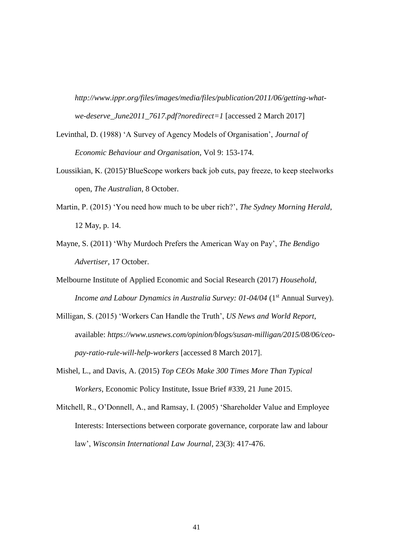*http://www.ippr.org/files/images/media/files/publication/2011/06/getting-whatwe-deserve\_June2011\_7617.pdf?noredirect=1* [accessed 2 March 2017]

- Levinthal, D. (1988) 'A Survey of Agency Models of Organisation', *Journal of Economic Behaviour and Organisation*, Vol 9: 153-174.
- Loussikian, K. (2015)'BlueScope workers back job cuts, pay freeze, to keep steelworks open, *The Australian*, 8 October.
- Martin, P. (2015) 'You need how much to be uber rich?', *The Sydney Morning Herald*, 12 May, p. 14.
- Mayne, S. (2011) 'Why Murdoch Prefers the American Way on Pay', *The Bendigo Advertiser*, 17 October.
- Melbourne Institute of Applied Economic and Social Research (2017) *Household, Income and Labour Dynamics in Australia Survey: 01-04/04* (1<sup>st</sup> Annual Survey).
- Milligan, S. (2015) 'Workers Can Handle the Truth', *US News and World Report*, available: *https://www.usnews.com/opinion/blogs/susan-milligan/2015/08/06/ceopay-ratio-rule-will-help-workers* [accessed 8 March 2017].
- Mishel, L., and Davis, A. (2015) *Top CEOs Make 300 Times More Than Typical Workers,* Economic Policy Institute, Issue Brief #339, 21 June 2015.
- Mitchell, R., O'Donnell, A., and Ramsay, I. (2005) 'Shareholder Value and Employee Interests: Intersections between corporate governance, corporate law and labour law', *Wisconsin International Law Journal*, 23(3): 417-476.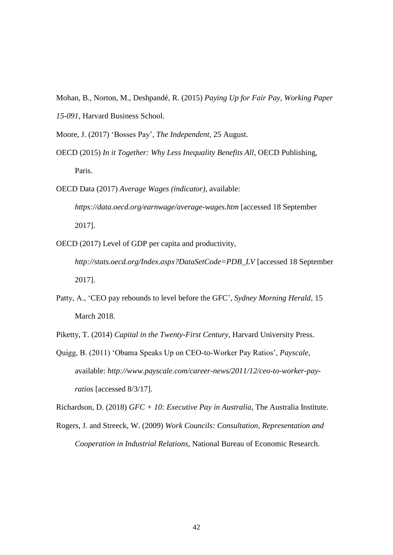- Mohan, B., Norton, M., Deshpandé, R. (2015) *Paying Up for Fair Pay, Working Paper*
- *15-091,* Harvard Business School.

Moore, J. (2017) 'Bosses Pay', *The Independent*, 25 August.

- OECD (2015) *In it Together: Why Less Inequality Benefits All*, OECD Publishing, Paris.
- OECD Data (2017) *Average Wages (indicator),* available: *<https://data.oecd.org/earnwage/average-wages.htm>* [accessed 18 September 2017].
- OECD (2017) Level of GDP per capita and productivity,
	- *[http://stats.oecd.org/Index.aspx?DataSetCode=PDB\\_LV](http://stats.oecd.org/Index.aspx?DataSetCode=PDB_LV)* [accessed 18 September 2017].
- Patty, A., 'CEO pay rebounds to level before the GFC', *Sydney Morning Herald*, 15 March 2018.
- Piketty, T. (2014) *Capital in the Twenty-First Century*, Harvard University Press.
- Quigg, B. (2011) 'Obama Speaks Up on CEO-to-Worker Pay Ratios', *Payscale*, available: *http://www.payscale.com/career-news/2011/12/ceo-to-worker-payratios* [accessed 8/3/17].

Richardson, D. (2018) *GFC + 10: Executive Pay in Australia*, The Australia Institute.

Rogers, J. and Streeck, W. (2009) *Work Councils: Consultation, Representation and Cooperation in Industrial Relations*, National Bureau of Economic Research.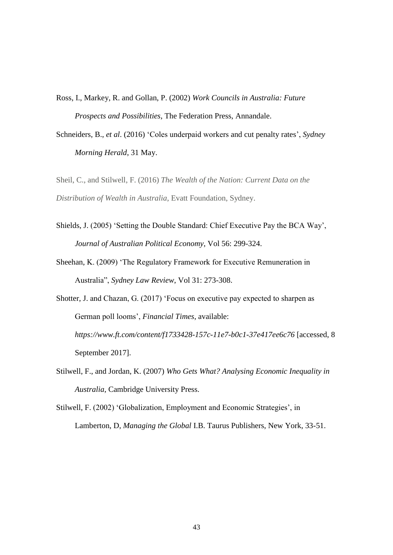Ross, I., Markey, R. and Gollan, P. (2002) *Work Councils in Australia: Future Prospects and Possibilities*, The Federation Press, Annandale.

Schneiders, B., *et al*. (2016) 'Coles underpaid workers and cut penalty rates', *Sydney Morning Herald*, 31 May.

Sheil, C., and Stilwell, F. (2016) *The Wealth of the Nation: Current Data on the Distribution of Wealth in Australia*, Evatt Foundation, Sydney.

- Shields, J. (2005) 'Setting the Double Standard: Chief Executive Pay the BCA Way', *Journal of Australian Political Economy*, Vol 56: 299-324.
- Sheehan, K. (2009) 'The Regulatory Framework for Executive Remuneration in Australia", *Sydney Law Review*, Vol 31: 273-308.
- Shotter, J. and Chazan, G. (2017) 'Focus on executive pay expected to sharpen as German poll looms', *Financial Times*, available: *https://www.ft.com/content/f1733428-157c-11e7-b0c1-37e417ee6c76* [accessed, 8 September 2017].
- Stilwell, F., and Jordan, K. (2007) *Who Gets What? Analysing Economic Inequality in Australia*, Cambridge University Press.

Stilwell, F. (2002) 'Globalization, Employment and Economic Strategies', in Lamberton, D, *Managing the Global* I.B. Taurus Publishers, New York, 33-51.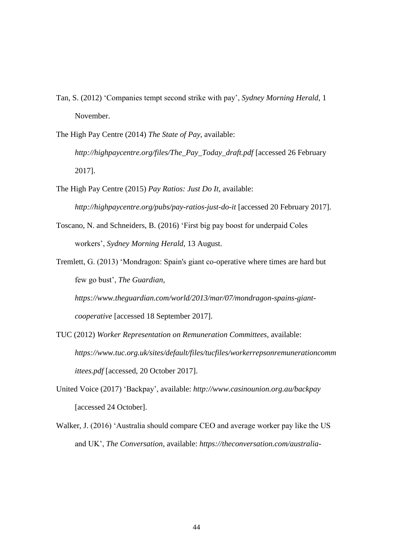- Tan, S. (2012) 'Companies tempt second strike with pay', *Sydney Morning Herald*, 1 November.
- The High Pay Centre (2014) *The State of Pay*, available:

*http://highpaycentre.org/files/The\_Pay\_Today\_draft.pdf* [accessed 26 February 2017].

- The High Pay Centre (2015) *Pay Ratios: Just Do It*, available: *http://highpaycentre.org/pubs/pay-ratios-just-do-it* [accessed 20 February 2017].
- Toscano, N. and Schneiders, B. (2016) 'First big pay boost for underpaid Coles workers', *Sydney Morning Herald*, 13 August.
- Tremlett, G. (2013) 'Mondragon: Spain's giant co-operative where times are hard but few go bust', *The Guardian*,

*https://www.theguardian.com/world/2013/mar/07/mondragon-spains-giantcooperative* [accessed 18 September 2017].

- TUC (2012) *Worker Representation on Remuneration Committees*, available: *[https://www.tuc.org.uk/sites/default/files/tucfiles/workerrepsonremunerationcomm](https://www.tuc.org.uk/sites/default/files/tucfiles/workerrepsonremunerationcommittees.pdf) [ittees.pdf](https://www.tuc.org.uk/sites/default/files/tucfiles/workerrepsonremunerationcommittees.pdf)* [accessed, 20 October 2017].
- United Voice (2017) 'Backpay', available: *<http://www.casinounion.org.au/backpay>* [accessed 24 October].
- Walker, J. (2016) 'Australia should compare CEO and average worker pay like the US and UK', *The Conversation*, available: *https://theconversation.com/australia-*